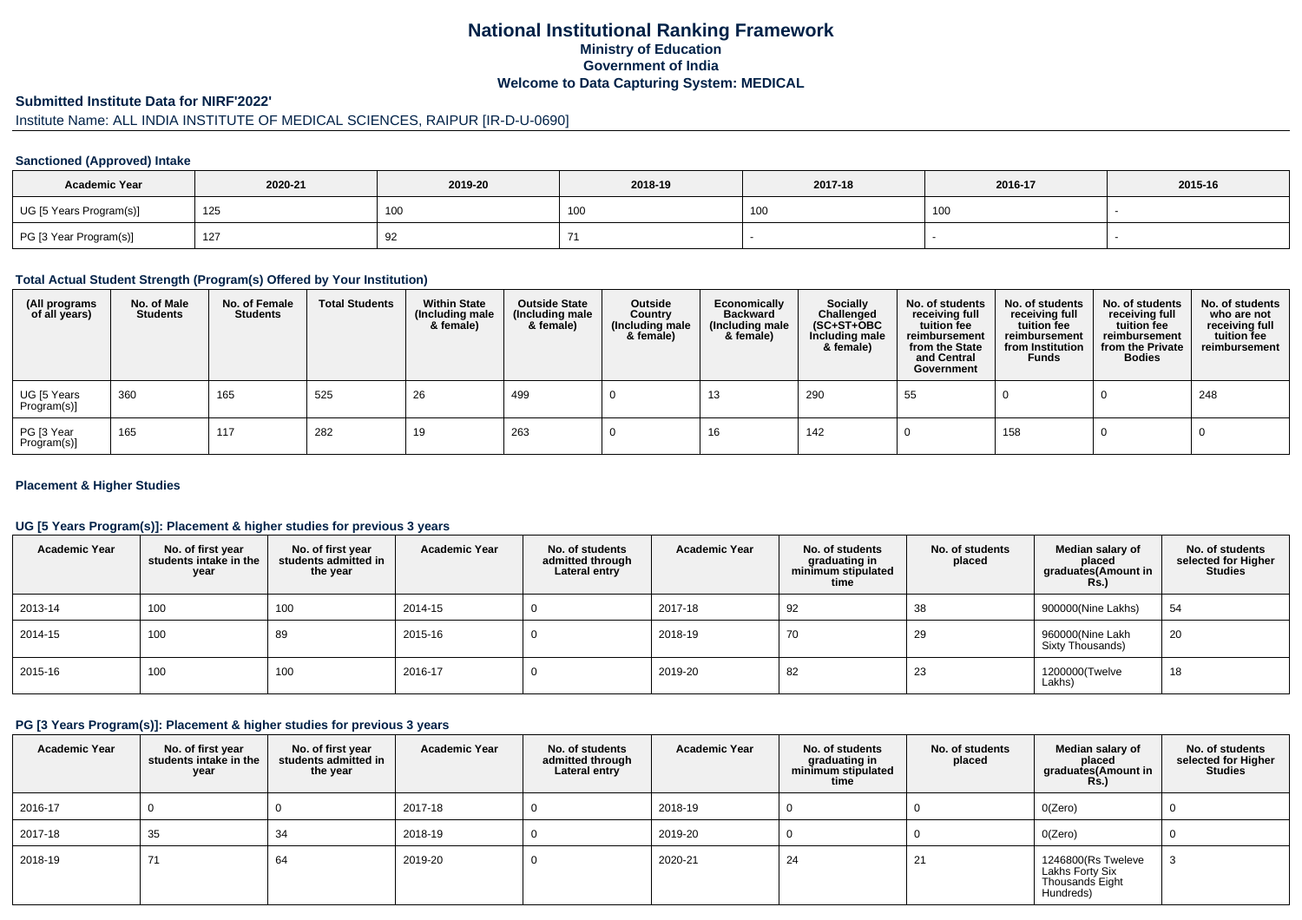# **National Institutional Ranking FrameworkMinistry of Education Government of IndiaWelcome to Data Capturing System: MEDICAL**

### **Submitted Institute Data for NIRF'2022'**

# Institute Name: ALL INDIA INSTITUTE OF MEDICAL SCIENCES, RAIPUR [IR-D-U-0690]

### **Sanctioned (Approved) Intake**

| <b>Academic Year</b>    | 2020-21 | 2019-20         | 2018-19 | 2017-18 | 2016-17 | 2015-16 |
|-------------------------|---------|-----------------|---------|---------|---------|---------|
| UG [5 Years Program(s)] | 125     | 10 <sub>C</sub> | , UU    | 100     | 100     |         |
| PG [3 Year Program(s)]  | 127     | ັ້              |         |         |         |         |

#### **Total Actual Student Strength (Program(s) Offered by Your Institution)**

| (All programs<br>of all years) | No. of Male<br><b>Students</b> | No. of Female<br><b>Students</b> | <b>Total Students</b> | <b>Within State</b><br>(Including male<br>& female) | <b>Outside State</b><br>(Including male<br>& female) | Outside<br>Country<br>(Including male<br>& female) | Economically<br><b>Backward</b><br>(Including male<br>& female) | <b>Socially</b><br>Challenged<br>$(SC+ST+OBC)$<br>Including male<br>& female) | No. of students<br>receiving full<br>tuition fee<br>reimbursement<br>from the State<br>and Central<br>Government | No. of students<br>receiving full<br>tuition fee<br>reimbursement<br>from Institution<br><b>Funds</b> | No. of students<br>receiving full<br>tuition fee<br>reimbursement<br>from the Private<br><b>Bodies</b> | No. of students<br>who are not<br>receiving full<br>tuition fee<br>reimbursement |
|--------------------------------|--------------------------------|----------------------------------|-----------------------|-----------------------------------------------------|------------------------------------------------------|----------------------------------------------------|-----------------------------------------------------------------|-------------------------------------------------------------------------------|------------------------------------------------------------------------------------------------------------------|-------------------------------------------------------------------------------------------------------|--------------------------------------------------------------------------------------------------------|----------------------------------------------------------------------------------|
| UG [5 Years<br>Program(s)]     | 360                            | 165                              | 525                   | 26                                                  | 499                                                  |                                                    | 13                                                              | 290                                                                           | 55                                                                                                               |                                                                                                       |                                                                                                        | 248                                                                              |
| PG [3 Year<br>Program(s)]      | 165                            | 117                              | 282                   | 19                                                  | 263                                                  |                                                    | 16                                                              | 142                                                                           |                                                                                                                  | 158                                                                                                   |                                                                                                        |                                                                                  |

### **Placement & Higher Studies**

### **UG [5 Years Program(s)]: Placement & higher studies for previous 3 years**

| <b>Academic Year</b> | No. of first year<br>students intake in the<br>year | No. of first year<br>students admitted in<br>the year | <b>Academic Year</b> | No. of students<br>admitted through<br>Lateral entry | <b>Academic Year</b> | No. of students<br>graduating in<br>minimum stipulated<br>time | No. of students<br>placed | Median salary of<br>placed<br>graduates(Amount in<br>Rs.) | No. of students<br>selected for Higher<br><b>Studies</b> |
|----------------------|-----------------------------------------------------|-------------------------------------------------------|----------------------|------------------------------------------------------|----------------------|----------------------------------------------------------------|---------------------------|-----------------------------------------------------------|----------------------------------------------------------|
| 2013-14              | 100                                                 | 100                                                   | 2014-15              |                                                      | 2017-18              | 92                                                             | 38                        | 900000(Nine Lakhs)                                        | 54                                                       |
| 2014-15              | 100                                                 | 89                                                    | 2015-16              |                                                      | 2018-19              | 70                                                             | 29                        | 960000(Nine Lakh<br>Sixty Thousands)                      | 20                                                       |
| 2015-16              | 100                                                 | 100                                                   | 2016-17              |                                                      | 2019-20              | 82                                                             | 23                        | 1200000(Twelve<br>Lakhs)                                  | 18                                                       |

### **PG [3 Years Program(s)]: Placement & higher studies for previous 3 years**

| <b>Academic Year</b> | No. of first year<br>students intake in the<br>year | No. of first vear<br>students admitted in<br>the year | <b>Academic Year</b> | No. of students<br>admitted through<br>Lateral entry | <b>Academic Year</b> | No. of students<br>graduating in<br>minimum stipulated<br>time | No. of students<br>placed | Median salary of<br>placed<br>graduates(Amount in<br>Rs.)             | No. of students<br>selected for Higher<br><b>Studies</b> |
|----------------------|-----------------------------------------------------|-------------------------------------------------------|----------------------|------------------------------------------------------|----------------------|----------------------------------------------------------------|---------------------------|-----------------------------------------------------------------------|----------------------------------------------------------|
| 2016-17              |                                                     |                                                       | 2017-18              |                                                      | 2018-19              |                                                                |                           | O(Zero)                                                               |                                                          |
| 2017-18              | 35                                                  | 34                                                    | 2018-19              |                                                      | 2019-20              |                                                                |                           | O(Zero)                                                               |                                                          |
| 2018-19              | 71                                                  | 64                                                    | 2019-20              |                                                      | 2020-21              | 24                                                             | 21                        | 1246800(Rs Tweleve<br>Lakhs Forty Six<br>Thousands Eight<br>Hundreds) |                                                          |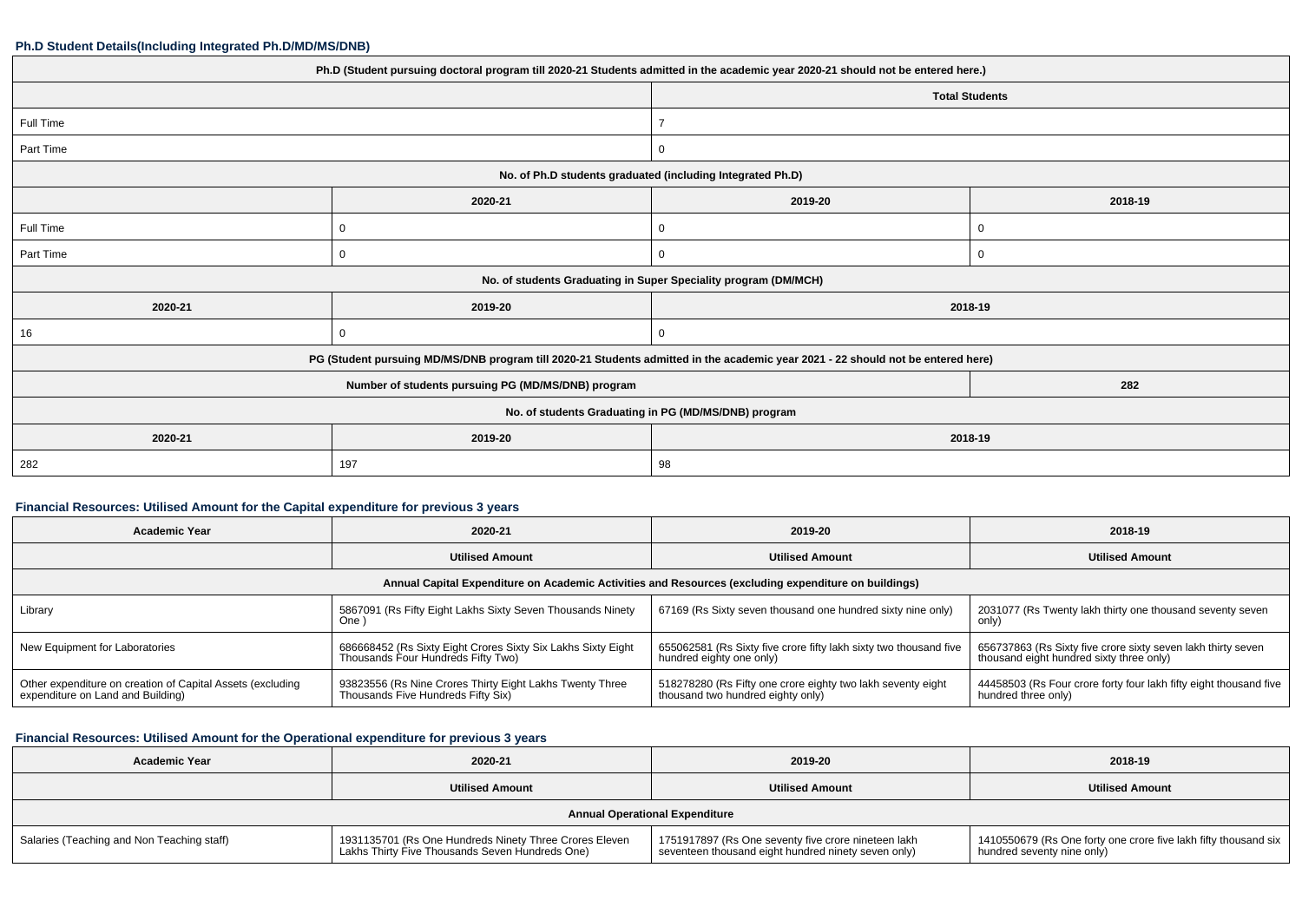#### **Ph.D Student Details(Including Integrated Ph.D/MD/MS/DNB)**

| Ph.D (Student pursuing doctoral program till 2020-21 Students admitted in the academic year 2020-21 should not be entered here.) |          |                                                                 |                       |  |  |
|----------------------------------------------------------------------------------------------------------------------------------|----------|-----------------------------------------------------------------|-----------------------|--|--|
|                                                                                                                                  |          |                                                                 | <b>Total Students</b> |  |  |
| Full Time                                                                                                                        |          |                                                                 |                       |  |  |
| Part Time                                                                                                                        |          | $\Omega$                                                        |                       |  |  |
|                                                                                                                                  |          | No. of Ph.D students graduated (including Integrated Ph.D)      |                       |  |  |
|                                                                                                                                  | 2020-21  | 2019-20                                                         | 2018-19               |  |  |
| Full Time                                                                                                                        | 0        | 0                                                               | 0                     |  |  |
| Part Time                                                                                                                        | 0        | 0                                                               | 0                     |  |  |
|                                                                                                                                  |          | No. of students Graduating in Super Speciality program (DM/MCH) |                       |  |  |
| 2020-21                                                                                                                          | 2019-20  |                                                                 | 2018-19               |  |  |
| 16                                                                                                                               | $\Omega$ | 0                                                               |                       |  |  |
| PG (Student pursuing MD/MS/DNB program till 2020-21 Students admitted in the academic year 2021 - 22 should not be entered here) |          |                                                                 |                       |  |  |
|                                                                                                                                  | 282      |                                                                 |                       |  |  |
| No. of students Graduating in PG (MD/MS/DNB) program                                                                             |          |                                                                 |                       |  |  |
| 2020-21                                                                                                                          | 2019-20  | 2018-19                                                         |                       |  |  |
| 282                                                                                                                              | 197      | 98                                                              |                       |  |  |

### **Financial Resources: Utilised Amount for the Capital expenditure for previous 3 years**

| Academic Year                                                                                        | 2020-21                                                                                            | 2019-20                                                                                          | 2018-19                                                                                                  |  |  |  |
|------------------------------------------------------------------------------------------------------|----------------------------------------------------------------------------------------------------|--------------------------------------------------------------------------------------------------|----------------------------------------------------------------------------------------------------------|--|--|--|
|                                                                                                      | <b>Utilised Amount</b>                                                                             | <b>Utilised Amount</b>                                                                           | <b>Utilised Amount</b>                                                                                   |  |  |  |
| Annual Capital Expenditure on Academic Activities and Resources (excluding expenditure on buildings) |                                                                                                    |                                                                                                  |                                                                                                          |  |  |  |
| Library                                                                                              | 5867091 (Rs Fifty Eight Lakhs Sixty Seven Thousands Ninety<br>One)                                 | 67169 (Rs Sixty seven thousand one hundred sixty nine only)                                      | 2031077 (Rs Twenty lakh thirty one thousand seventy seven<br>only)                                       |  |  |  |
| New Equipment for Laboratories                                                                       | 686668452 (Rs Sixty Eight Crores Sixty Six Lakhs Sixty Eight<br>Thousands Four Hundreds Fifty Two) | 655062581 (Rs Sixty five crore fifty lakh sixty two thousand five<br>hundred eighty one only)    | 656737863 (Rs Sixty five crore sixty seven lakh thirty seven<br>thousand eight hundred sixty three only) |  |  |  |
| Other expenditure on creation of Capital Assets (excluding<br>expenditure on Land and Building)      | 93823556 (Rs Nine Crores Thirty Eight Lakhs Twenty Three<br>Thousands Five Hundreds Fifty Six)     | 518278280 (Rs Fifty one crore eighty two lakh seventy eight<br>thousand two hundred eighty only) | 44458503 (Rs Four crore forty four lakh fifty eight thousand five<br>hundred three only)                 |  |  |  |

# **Financial Resources: Utilised Amount for the Operational expenditure for previous 3 years**

| <b>Academic Year</b>                       | 2020-21                                                                                                   | 2019-20                                                                                                    | 2018-19                                                                                         |  |  |  |
|--------------------------------------------|-----------------------------------------------------------------------------------------------------------|------------------------------------------------------------------------------------------------------------|-------------------------------------------------------------------------------------------------|--|--|--|
|                                            | <b>Utilised Amount</b>                                                                                    | <b>Utilised Amount</b>                                                                                     | <b>Utilised Amount</b>                                                                          |  |  |  |
| <b>Annual Operational Expenditure</b>      |                                                                                                           |                                                                                                            |                                                                                                 |  |  |  |
| Salaries (Teaching and Non Teaching staff) | 1931135701 (Rs One Hundreds Ninety Three Crores Eleven<br>Lakhs Thirty Five Thousands Seven Hundreds One) | 1751917897 (Rs One seventy five crore nineteen lakh<br>seventeen thousand eight hundred ninety seven only) | 1410550679 (Rs One forty one crore five lakh fifty thousand six  <br>hundred seventy nine only) |  |  |  |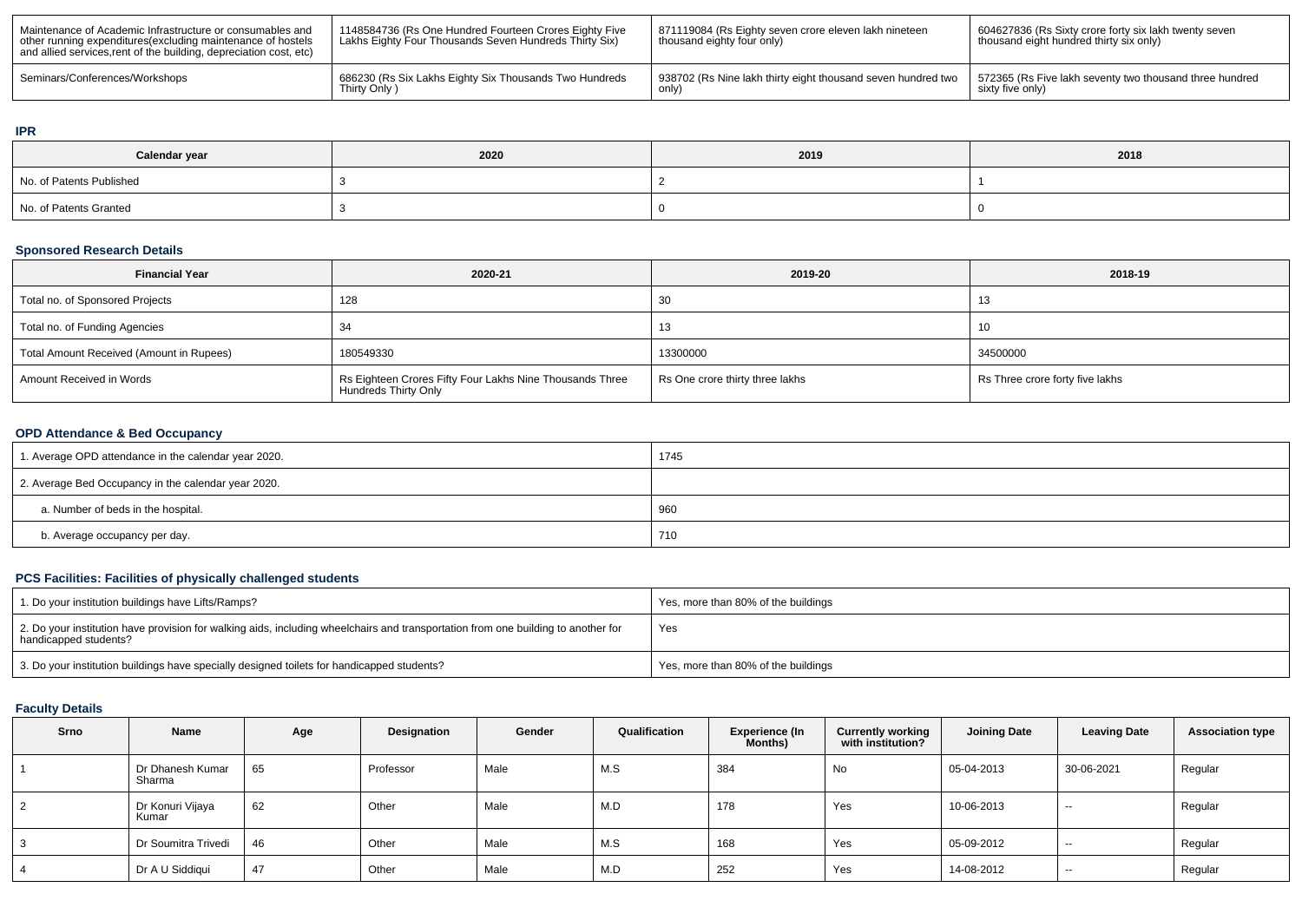| Maintenance of Academic Infrastructure or consumables and<br>other running expenditures (excluding maintenance of hostels<br>and allied services, rent of the building, depreciation cost, etc) | 1148584736 (Rs One Hundred Fourteen Crores Eighty Five<br>Lakhs Eighty Four Thousands Seven Hundreds Thirty Six) | 871119084 (Rs Eighty seven crore eleven lakh nineteen<br>thousand eighty four only) | 604627836 (Rs Sixty crore forty six lakh twenty seven<br>thousand eight hundred thirty six only) |
|-------------------------------------------------------------------------------------------------------------------------------------------------------------------------------------------------|------------------------------------------------------------------------------------------------------------------|-------------------------------------------------------------------------------------|--------------------------------------------------------------------------------------------------|
| Seminars/Conferences/Workshops                                                                                                                                                                  | 686230 (Rs Six Lakhs Eighty Six Thousands Two Hundreds                                                           | 938702 (Rs Nine lakh thirty eight thousand seven hundred two                        | 572365 (Rs Five lakh seventy two thousand three hundred                                          |
|                                                                                                                                                                                                 | Thirty Only )                                                                                                    | only.                                                                               | sixty five only)                                                                                 |

#### **IPR**

| Calendar year            | 2020 | 2019 | 2018 |
|--------------------------|------|------|------|
| No. of Patents Published |      |      |      |
| No. of Patents Granted   |      |      |      |

### **Sponsored Research Details**

| <b>Financial Year</b>                    | 2020-21                                                                                 | 2019-20                         | 2018-19                         |
|------------------------------------------|-----------------------------------------------------------------------------------------|---------------------------------|---------------------------------|
| Total no. of Sponsored Projects          | 128                                                                                     | 30                              | ں ا                             |
| Total no. of Funding Agencies            |                                                                                         | 13                              | 10                              |
| Total Amount Received (Amount in Rupees) | 180549330                                                                               | 13300000                        | 34500000                        |
| Amount Received in Words                 | Rs Eighteen Crores Fifty Four Lakhs Nine Thousands Three<br><b>Hundreds Thirty Only</b> | Rs One crore thirty three lakhs | Rs Three crore forty five lakhs |

# **OPD Attendance & Bed Occupancy**

| 1. Average OPD attendance in the calendar year 2020. | 1745 |
|------------------------------------------------------|------|
| 2. Average Bed Occupancy in the calendar year 2020.  |      |
| a. Number of beds in the hospital.                   | 960  |
| b. Average occupancy per day.                        | 710  |

# **PCS Facilities: Facilities of physically challenged students**

| 1. Do your institution buildings have Lifts/Ramps?                                                                                                         | Yes, more than 80% of the buildings |
|------------------------------------------------------------------------------------------------------------------------------------------------------------|-------------------------------------|
| 2. Do your institution have provision for walking aids, including wheelchairs and transportation from one building to another for<br>handicapped students? | Yes                                 |
| 3. Do your institution buildings have specially designed toilets for handicapped students?                                                                 | Yes, more than 80% of the buildings |

## **Faculty Details**

| Srno           | Name                       | Age | Designation | Gender | Qualification | <b>Experience (In</b><br>Months) | <b>Currently working</b><br>with institution? | <b>Joining Date</b> | <b>Leaving Date</b> | <b>Association type</b> |
|----------------|----------------------------|-----|-------------|--------|---------------|----------------------------------|-----------------------------------------------|---------------------|---------------------|-------------------------|
|                | Dr Dhanesh Kumar<br>Sharma | 65  | Professor   | Male   | M.S           | 384                              | No                                            | 05-04-2013          | 30-06-2021          | Regular                 |
| $\overline{2}$ | Dr Konuri Vijaya<br>Kumar  | 62  | Other       | Male   | M.D           | 178                              | Yes                                           | 10-06-2013          | $-$                 | Regular                 |
| 3              | Dr Soumitra Trivedi        | 46  | Other       | Male   | M.S           | 168                              | Yes                                           | 05-09-2012          | $- -$               | Regular                 |
| 4              | Dr A U Siddiqui            | 47  | Other       | Male   | M.D           | 252                              | Yes                                           | 14-08-2012          | $-$                 | Regular                 |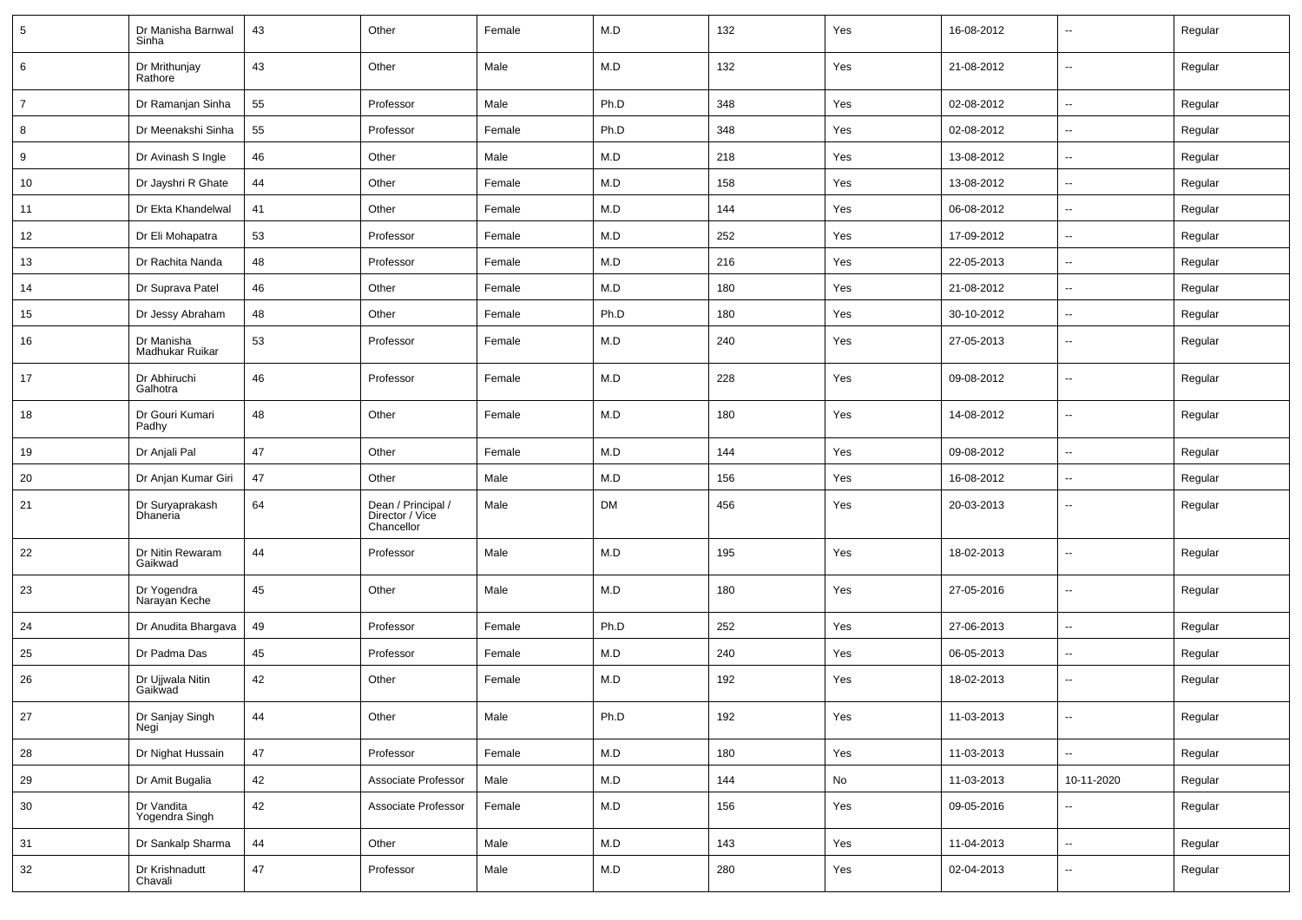| $5\phantom{.0}$ | Dr Manisha Barnwal<br>Sinha        | 43 | Other                                               | Female | M.D       | 132 | Yes | 16-08-2012 | $\sim$                   | Regular |
|-----------------|------------------------------------|----|-----------------------------------------------------|--------|-----------|-----|-----|------------|--------------------------|---------|
| 6               | Dr Mrithunjay<br>Rathore           | 43 | Other                                               | Male   | M.D       | 132 | Yes | 21-08-2012 | $\sim$                   | Regular |
| $\overline{7}$  | Dr Ramanjan Sinha                  | 55 | Professor                                           | Male   | Ph.D      | 348 | Yes | 02-08-2012 | $\sim$                   | Regular |
| 8               | Dr Meenakshi Sinha                 | 55 | Professor                                           | Female | Ph.D      | 348 | Yes | 02-08-2012 | $\sim$                   | Regular |
| 9               | Dr Avinash S Ingle                 | 46 | Other                                               | Male   | M.D       | 218 | Yes | 13-08-2012 | $\sim$                   | Regular |
| 10              | Dr Jayshri R Ghate                 | 44 | Other                                               | Female | M.D       | 158 | Yes | 13-08-2012 | $\mathbf{u}$             | Regular |
| 11              | Dr Ekta Khandelwal                 | 41 | Other                                               | Female | M.D       | 144 | Yes | 06-08-2012 | $\sim$                   | Regular |
| 12              | Dr Eli Mohapatra                   | 53 | Professor                                           | Female | M.D       | 252 | Yes | 17-09-2012 | $\sim$                   | Regular |
| 13              | Dr Rachita Nanda                   | 48 | Professor                                           | Female | M.D       | 216 | Yes | 22-05-2013 | $\sim$                   | Regular |
| 14              | Dr Suprava Patel                   | 46 | Other                                               | Female | M.D       | 180 | Yes | 21-08-2012 | $\sim$                   | Regular |
| 15              | Dr Jessy Abraham                   | 48 | Other                                               | Female | Ph.D      | 180 | Yes | 30-10-2012 | $\sim$                   | Regular |
| 16              | Dr Manisha<br>Madhukar Ruikar      | 53 | Professor                                           | Female | M.D       | 240 | Yes | 27-05-2013 | $\mathbf{u}$             | Regular |
| 17              | Dr Abhiruchi<br>Galhotra           | 46 | Professor                                           | Female | M.D       | 228 | Yes | 09-08-2012 | $\mathbf{u}$             | Regular |
| 18              | Dr Gouri Kumari<br>Padhy           | 48 | Other                                               | Female | M.D       | 180 | Yes | 14-08-2012 | $\mathbf{u}$             | Regular |
| 19              | Dr Anjali Pal                      | 47 | Other                                               | Female | M.D       | 144 | Yes | 09-08-2012 | $\overline{\phantom{a}}$ | Regular |
| 20              | Dr Anjan Kumar Giri                | 47 | Other                                               | Male   | M.D       | 156 | Yes | 16-08-2012 | $\mathbf{u}$             | Regular |
| 21              | Dr Suryaprakash<br><b>Dhaneria</b> | 64 | Dean / Principal /<br>Director / Vice<br>Chancellor | Male   | <b>DM</b> | 456 | Yes | 20-03-2013 | $\mathbf{u}$             | Regular |
| 22              | Dr Nitin Rewaram<br>Gaikwad        | 44 | Professor                                           | Male   | M.D       | 195 | Yes | 18-02-2013 | $\overline{\phantom{a}}$ | Regular |
| 23              | Dr Yogendra<br>Narayan Keche       | 45 | Other                                               | Male   | M.D       | 180 | Yes | 27-05-2016 | $\overline{\phantom{a}}$ | Regular |
| 24              | Dr Anudita Bhargava                | 49 | Professor                                           | Female | Ph.D      | 252 | Yes | 27-06-2013 | $\mathbf{u}$             | Regular |
| 25              | Dr Padma Das                       | 45 | Professor                                           | Female | M.D       | 240 | Yes | 06-05-2013 | $\sim$                   | Regular |
| 26              | Dr Ujjwala Nitin<br>Gaikwad        | 42 | Other                                               | Female | M.D       | 192 | Yes | 18-02-2013 | $\sim$                   | Regular |
| 27              | Dr Sanjay Singh<br>Negi            | 44 | Other                                               | Male   | Ph.D      | 192 | Yes | 11-03-2013 | $\sim$                   | Regular |
| 28              | Dr Nighat Hussain                  | 47 | Professor                                           | Female | M.D       | 180 | Yes | 11-03-2013 | $\sim$                   | Regular |
| 29              | Dr Amit Bugalia                    | 42 | Associate Professor                                 | Male   | M.D       | 144 | No  | 11-03-2013 | 10-11-2020               | Regular |
| 30              | Dr Vandita<br>Yogendra Singh       | 42 | Associate Professor                                 | Female | M.D       | 156 | Yes | 09-05-2016 | $\sim$                   | Regular |
| 31              | Dr Sankalp Sharma                  | 44 | Other                                               | Male   | M.D       | 143 | Yes | 11-04-2013 | $\sim$                   | Regular |
| 32              | Dr Krishnadutt<br>Chavali          | 47 | Professor                                           | Male   | M.D       | 280 | Yes | 02-04-2013 | $\sim$                   | Regular |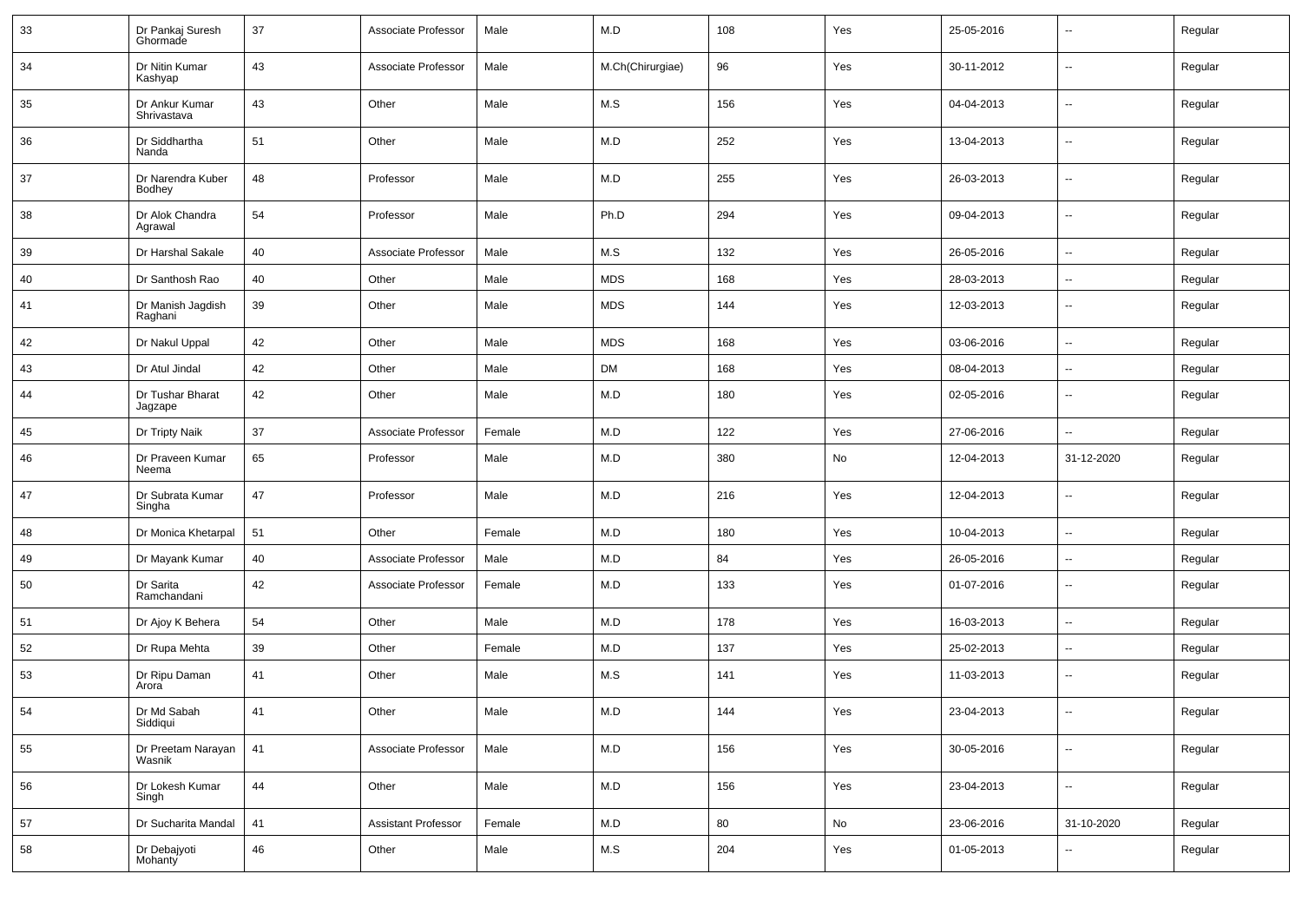| 33 | Dr Pankaj Suresh<br>Ghormade  | 37 | Associate Professor        | Male   | M.D              | 108 | Yes | 25-05-2016 |                          | Regular |
|----|-------------------------------|----|----------------------------|--------|------------------|-----|-----|------------|--------------------------|---------|
| 34 | Dr Nitin Kumar<br>Kashyap     | 43 | Associate Professor        | Male   | M.Ch(Chirurgiae) | 96  | Yes | 30-11-2012 | ⊶.                       | Regular |
| 35 | Dr Ankur Kumar<br>Shrivastava | 43 | Other                      | Male   | M.S              | 156 | Yes | 04-04-2013 | $\overline{\phantom{a}}$ | Regular |
| 36 | Dr Siddhartha<br>Nanda        | 51 | Other                      | Male   | M.D              | 252 | Yes | 13-04-2013 | ⊶.                       | Regular |
| 37 | Dr Narendra Kuber<br>Bodhey   | 48 | Professor                  | Male   | M.D              | 255 | Yes | 26-03-2013 | ⊷.                       | Regular |
| 38 | Dr Alok Chandra<br>Agrawal    | 54 | Professor                  | Male   | Ph.D             | 294 | Yes | 09-04-2013 | ⊶.                       | Regular |
| 39 | Dr Harshal Sakale             | 40 | Associate Professor        | Male   | M.S              | 132 | Yes | 26-05-2016 | -−                       | Regular |
| 40 | Dr Santhosh Rao               | 40 | Other                      | Male   | <b>MDS</b>       | 168 | Yes | 28-03-2013 | $\sim$                   | Regular |
| 41 | Dr Manish Jagdish<br>Raghani  | 39 | Other                      | Male   | <b>MDS</b>       | 144 | Yes | 12-03-2013 | --                       | Regular |
| 42 | Dr Nakul Uppal                | 42 | Other                      | Male   | <b>MDS</b>       | 168 | Yes | 03-06-2016 | ⊷.                       | Regular |
| 43 | Dr Atul Jindal                | 42 | Other                      | Male   | <b>DM</b>        | 168 | Yes | 08-04-2013 | н.                       | Regular |
| 44 | Dr Tushar Bharat<br>Jagzape   | 42 | Other                      | Male   | M.D              | 180 | Yes | 02-05-2016 | $\sim$                   | Regular |
| 45 | Dr Tripty Naik                | 37 | Associate Professor        | Female | M.D              | 122 | Yes | 27-06-2016 | ш,                       | Regular |
| 46 | Dr Praveen Kumar<br>Neema     | 65 | Professor                  | Male   | M.D              | 380 | No  | 12-04-2013 | 31-12-2020               | Regular |
| 47 | Dr Subrata Kumar<br>Singha    | 47 | Professor                  | Male   | M.D              | 216 | Yes | 12-04-2013 | $\overline{\phantom{a}}$ | Regular |
| 48 | Dr Monica Khetarpal           | 51 | Other                      | Female | M.D              | 180 | Yes | 10-04-2013 | ⊷.                       | Regular |
| 49 | Dr Mayank Kumar               | 40 | Associate Professor        | Male   | M.D              | 84  | Yes | 26-05-2016 | -−                       | Regular |
| 50 | Dr Sarita<br>Ramchandani      | 42 | Associate Professor        | Female | M.D              | 133 | Yes | 01-07-2016 | $\sim$                   | Regular |
| 51 | Dr Ajoy K Behera              | 54 | Other                      | Male   | M.D              | 178 | Yes | 16-03-2013 | ⊷.                       | Regular |
| 52 | Dr Rupa Mehta                 | 39 | Other                      | Female | M.D              | 137 | Yes | 25-02-2013 | $\overline{\phantom{a}}$ | Regular |
| 53 | Dr Ripu Daman<br>Arora        | 41 | Other                      | Male   | M.S              | 141 | Yes | 11-03-2013 | н.                       | Regular |
| 54 | Dr Md Sabah<br>Siddiqui       | 41 | Other                      | Male   | M.D              | 144 | Yes | 23-04-2013 |                          | Regular |
| 55 | Dr Preetam Narayan<br>Wasnik  | 41 | Associate Professor        | Male   | M.D              | 156 | Yes | 30-05-2016 | Ц.                       | Regular |
| 56 | Dr Lokesh Kumar<br>Singh      | 44 | Other                      | Male   | M.D              | 156 | Yes | 23-04-2013 | ω.                       | Regular |
| 57 | Dr Sucharita Mandal           | 41 | <b>Assistant Professor</b> | Female | M.D              | 80  | No  | 23-06-2016 | 31-10-2020               | Regular |
| 58 | Dr Debajyoti<br>Mohanty       | 46 | Other                      | Male   | M.S              | 204 | Yes | 01-05-2013 | щ.                       | Regular |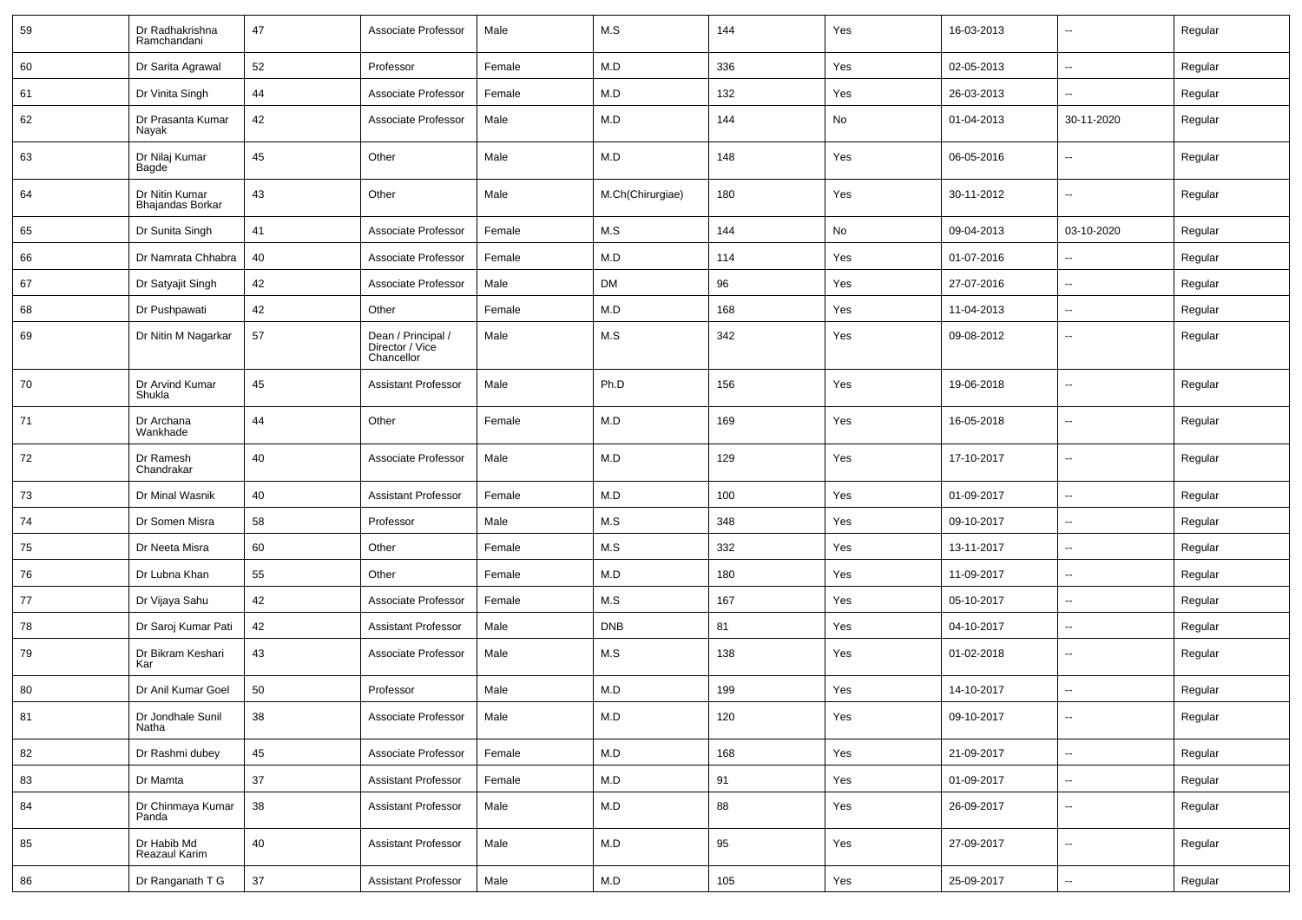| 59 | Dr Radhakrishna<br>Ramchandani            | 47     | Associate Professor                                 | Male   | M.S              | 144 | Yes | 16-03-2013 | $\overline{\phantom{a}}$ | Regular |
|----|-------------------------------------------|--------|-----------------------------------------------------|--------|------------------|-----|-----|------------|--------------------------|---------|
| 60 | Dr Sarita Agrawal                         | 52     | Professor                                           | Female | M.D              | 336 | Yes | 02-05-2013 | ⊷.                       | Regular |
| 61 | Dr Vinita Singh                           | 44     | Associate Professor                                 | Female | M.D              | 132 | Yes | 26-03-2013 | --                       | Regular |
| 62 | Dr Prasanta Kumar<br>Nayak                | 42     | Associate Professor                                 | Male   | M.D              | 144 | No  | 01-04-2013 | 30-11-2020               | Regular |
| 63 | Dr Nilaj Kumar<br>Bagde                   | 45     | Other                                               | Male   | M.D              | 148 | Yes | 06-05-2016 | $\overline{\phantom{a}}$ | Regular |
| 64 | Dr Nitin Kumar<br><b>Bhajandas Borkar</b> | 43     | Other                                               | Male   | M.Ch(Chirurgiae) | 180 | Yes | 30-11-2012 | $\overline{\phantom{a}}$ | Regular |
| 65 | Dr Sunita Singh                           | 41     | Associate Professor                                 | Female | M.S              | 144 | No  | 09-04-2013 | 03-10-2020               | Regular |
| 66 | Dr Namrata Chhabra                        | 40     | Associate Professor                                 | Female | M.D              | 114 | Yes | 01-07-2016 | --                       | Regular |
| 67 | Dr Satyajit Singh                         | 42     | Associate Professor                                 | Male   | DM               | 96  | Yes | 27-07-2016 | --                       | Regular |
| 68 | Dr Pushpawati                             | 42     | Other                                               | Female | M.D              | 168 | Yes | 11-04-2013 | $\sim$                   | Regular |
| 69 | Dr Nitin M Nagarkar                       | 57     | Dean / Principal /<br>Director / Vice<br>Chancellor | Male   | M.S              | 342 | Yes | 09-08-2012 | $\overline{\phantom{a}}$ | Regular |
| 70 | Dr Arvind Kumar<br>Shukla                 | 45     | <b>Assistant Professor</b>                          | Male   | Ph.D             | 156 | Yes | 19-06-2018 | Ξ.                       | Regular |
| 71 | Dr Archana<br>Wankhade                    | 44     | Other                                               | Female | M.D              | 169 | Yes | 16-05-2018 | $\sim$                   | Regular |
| 72 | Dr Ramesh<br>Chandrakar                   | 40     | Associate Professor                                 | Male   | M.D              | 129 | Yes | 17-10-2017 | $\sim$                   | Regular |
| 73 | Dr Minal Wasnik                           | 40     | <b>Assistant Professor</b>                          | Female | M.D              | 100 | Yes | 01-09-2017 | $\overline{\phantom{a}}$ | Regular |
| 74 | Dr Somen Misra                            | 58     | Professor                                           | Male   | M.S              | 348 | Yes | 09-10-2017 | $\sim$                   | Regular |
| 75 | Dr Neeta Misra                            | 60     | Other                                               | Female | M.S              | 332 | Yes | 13-11-2017 | -−                       | Regular |
| 76 | Dr Lubna Khan                             | 55     | Other                                               | Female | M.D              | 180 | Yes | 11-09-2017 | ⊷.                       | Regular |
| 77 | Dr Vijaya Sahu                            | 42     | Associate Professor                                 | Female | M.S              | 167 | Yes | 05-10-2017 | --                       | Regular |
| 78 | Dr Saroj Kumar Pati                       | 42     | <b>Assistant Professor</b>                          | Male   | <b>DNB</b>       | 81  | Yes | 04-10-2017 | --                       | Regular |
| 79 | Dr Bikram Keshari<br>Kar                  | 43     | Associate Professor                                 | Male   | M.S              | 138 | Yes | 01-02-2018 | $\overline{\phantom{a}}$ | Regular |
| 80 | Dr Anil Kumar Goel                        | 50     | Professor                                           | Male   | M.D              | 199 | Yes | 14-10-2017 | Ξ.                       | Regular |
| 81 | Dr Jondhale Sunil<br>Natha                | 38     | Associate Professor                                 | Male   | M.D              | 120 | Yes | 09-10-2017 | $\sim$                   | Regular |
| 82 | Dr Rashmi dubey                           | 45     | Associate Professor                                 | Female | M.D              | 168 | Yes | 21-09-2017 | Щ,                       | Regular |
| 83 | Dr Mamta                                  | 37     | Assistant Professor                                 | Female | M.D              | 91  | Yes | 01-09-2017 | $\overline{\phantom{a}}$ | Regular |
| 84 | Dr Chinmaya Kumar<br>Panda                | 38     | <b>Assistant Professor</b>                          | Male   | M.D              | 88  | Yes | 26-09-2017 | $\overline{\phantom{a}}$ | Regular |
| 85 | Dr Habib Md<br>Reazaul Karim              | 40     | <b>Assistant Professor</b>                          | Male   | M.D              | 95  | Yes | 27-09-2017 | $\overline{\phantom{a}}$ | Regular |
| 86 | Dr Ranganath T G                          | $37\,$ | <b>Assistant Professor</b>                          | Male   | M.D              | 105 | Yes | 25-09-2017 | Щ,                       | Regular |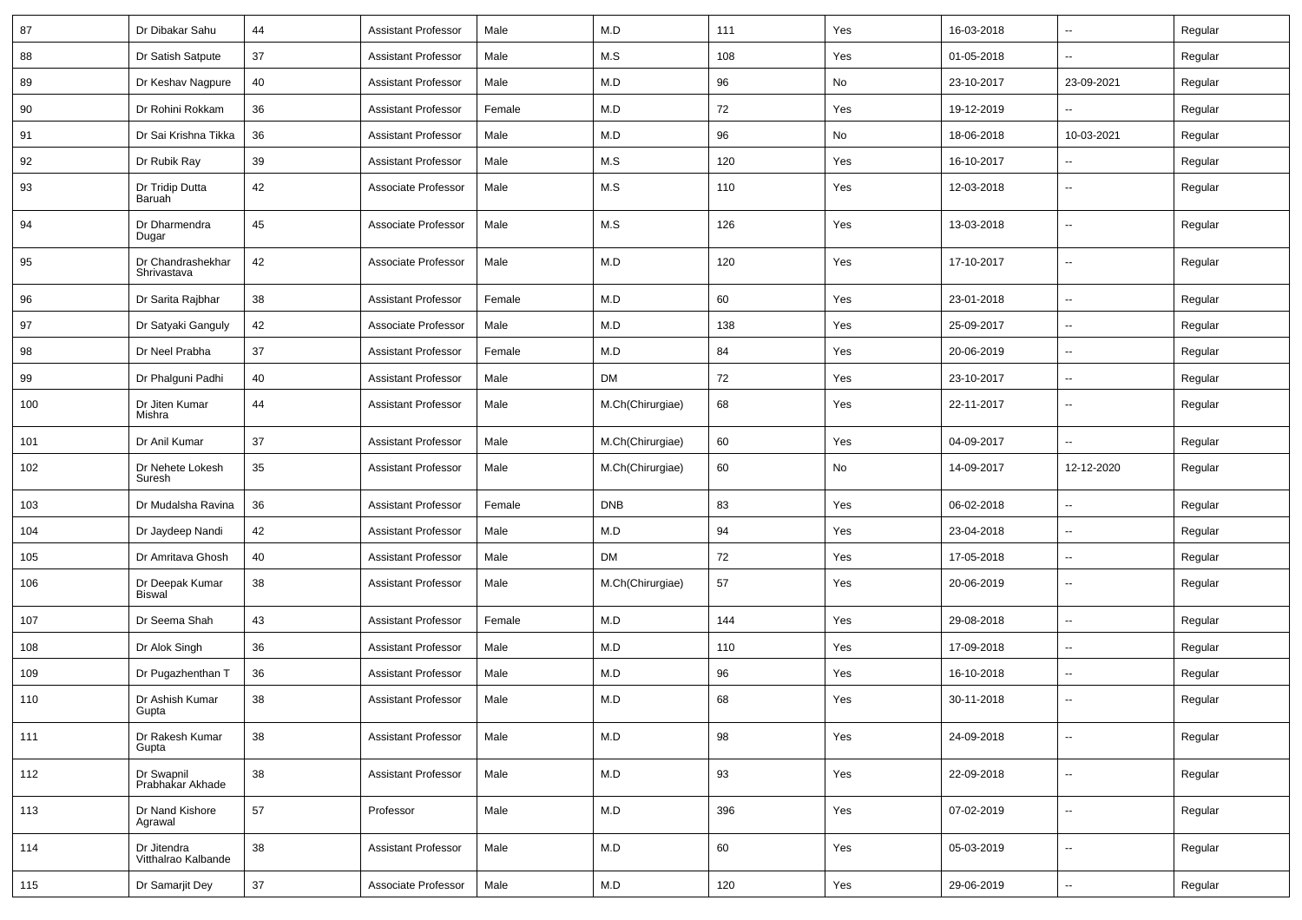| 87  | Dr Dibakar Sahu                    | 44 | <b>Assistant Professor</b> | Male   | M.D              | 111 | Yes | 16-03-2018 | Ξ.                   | Regular |
|-----|------------------------------------|----|----------------------------|--------|------------------|-----|-----|------------|----------------------|---------|
| 88  | Dr Satish Satpute                  | 37 | <b>Assistant Professor</b> | Male   | M.S              | 108 | Yes | 01-05-2018 | $\ddot{\phantom{a}}$ | Regular |
| 89  | Dr Keshav Nagpure                  | 40 | <b>Assistant Professor</b> | Male   | M.D              | 96  | No  | 23-10-2017 | 23-09-2021           | Regular |
| 90  | Dr Rohini Rokkam                   | 36 | <b>Assistant Professor</b> | Female | M.D              | 72  | Yes | 19-12-2019 |                      | Regular |
| 91  | Dr Sai Krishna Tikka               | 36 | <b>Assistant Professor</b> | Male   | M.D              | 96  | No  | 18-06-2018 | 10-03-2021           | Regular |
| 92  | Dr Rubik Ray                       | 39 | <b>Assistant Professor</b> | Male   | M.S              | 120 | Yes | 16-10-2017 |                      | Regular |
| 93  | Dr Tridip Dutta<br>Baruah          | 42 | Associate Professor        | Male   | M.S              | 110 | Yes | 12-03-2018 | $\sim$               | Regular |
| 94  | Dr Dharmendra<br>Dugar             | 45 | Associate Professor        | Male   | M.S              | 126 | Yes | 13-03-2018 | Ξ.                   | Regular |
| 95  | Dr Chandrashekhar<br>Shrivastava   | 42 | Associate Professor        | Male   | M.D              | 120 | Yes | 17-10-2017 | Ξ.                   | Regular |
| 96  | Dr Sarita Rajbhar                  | 38 | <b>Assistant Professor</b> | Female | M.D              | 60  | Yes | 23-01-2018 | $\ddot{\phantom{a}}$ | Regular |
| 97  | Dr Satyaki Ganguly                 | 42 | Associate Professor        | Male   | M.D              | 138 | Yes | 25-09-2017 | $\sim$               | Regular |
| 98  | Dr Neel Prabha                     | 37 | <b>Assistant Professor</b> | Female | M.D              | 84  | Yes | 20-06-2019 | --                   | Regular |
| 99  | Dr Phalguni Padhi                  | 40 | <b>Assistant Professor</b> | Male   | DM               | 72  | Yes | 23-10-2017 | --                   | Regular |
| 100 | Dr Jiten Kumar<br>Mishra           | 44 | <b>Assistant Professor</b> | Male   | M.Ch(Chirurgiae) | 68  | Yes | 22-11-2017 | --                   | Regular |
| 101 | Dr Anil Kumar                      | 37 | <b>Assistant Professor</b> | Male   | M.Ch(Chirurgiae) | 60  | Yes | 04-09-2017 | Ξ.                   | Regular |
| 102 | Dr Nehete Lokesh<br>Suresh         | 35 | <b>Assistant Professor</b> | Male   | M.Ch(Chirurgiae) | 60  | No  | 14-09-2017 | 12-12-2020           | Regular |
| 103 | Dr Mudalsha Ravina                 | 36 | <b>Assistant Professor</b> | Female | <b>DNB</b>       | 83  | Yes | 06-02-2018 | Ξ.                   | Regular |
| 104 | Dr Jaydeep Nandi                   | 42 | <b>Assistant Professor</b> | Male   | M.D              | 94  | Yes | 23-04-2018 | $\sim$               | Regular |
| 105 | Dr Amritava Ghosh                  | 40 | <b>Assistant Professor</b> | Male   | DM               | 72  | Yes | 17-05-2018 | $\sim$               | Regular |
| 106 | Dr Deepak Kumar<br><b>Biswal</b>   | 38 | <b>Assistant Professor</b> | Male   | M.Ch(Chirurgiae) | 57  | Yes | 20-06-2019 | --                   | Regular |
| 107 | Dr Seema Shah                      | 43 | <b>Assistant Professor</b> | Female | M.D              | 144 | Yes | 29-08-2018 | Ξ.                   | Regular |
| 108 | Dr Alok Singh                      | 36 | <b>Assistant Professor</b> | Male   | M.D              | 110 | Yes | 17-09-2018 | Ξ.                   | Regular |
| 109 |                                    |    |                            |        |                  |     |     |            |                      |         |
|     | Dr Pugazhenthan T                  | 36 | <b>Assistant Professor</b> | Male   | M.D              | 96  | Yes | 16-10-2018 | --                   | Regular |
| 110 | Dr Ashish Kumar<br>Gupta           | 38 | <b>Assistant Professor</b> | Male   | M.D              | 68  | Yes | 30-11-2018 | --                   | Regular |
| 111 | Dr Rakesh Kumar<br>Gupta           | 38 | <b>Assistant Professor</b> | Male   | M.D              | 98  | Yes | 24-09-2018 | Ξ.                   | Regular |
| 112 | Dr Swapnil<br>Prabhakar Akhade     | 38 | <b>Assistant Professor</b> | Male   | M.D              | 93  | Yes | 22-09-2018 | --                   | Regular |
| 113 | Dr Nand Kishore<br>Agrawal         | 57 | Professor                  | Male   | M.D              | 396 | Yes | 07-02-2019 | Ξ.                   | Regular |
| 114 | Dr Jitendra<br>Vitthalrao Kalbande | 38 | <b>Assistant Professor</b> | Male   | M.D              | 60  | Yes | 05-03-2019 | Ξ.                   | Regular |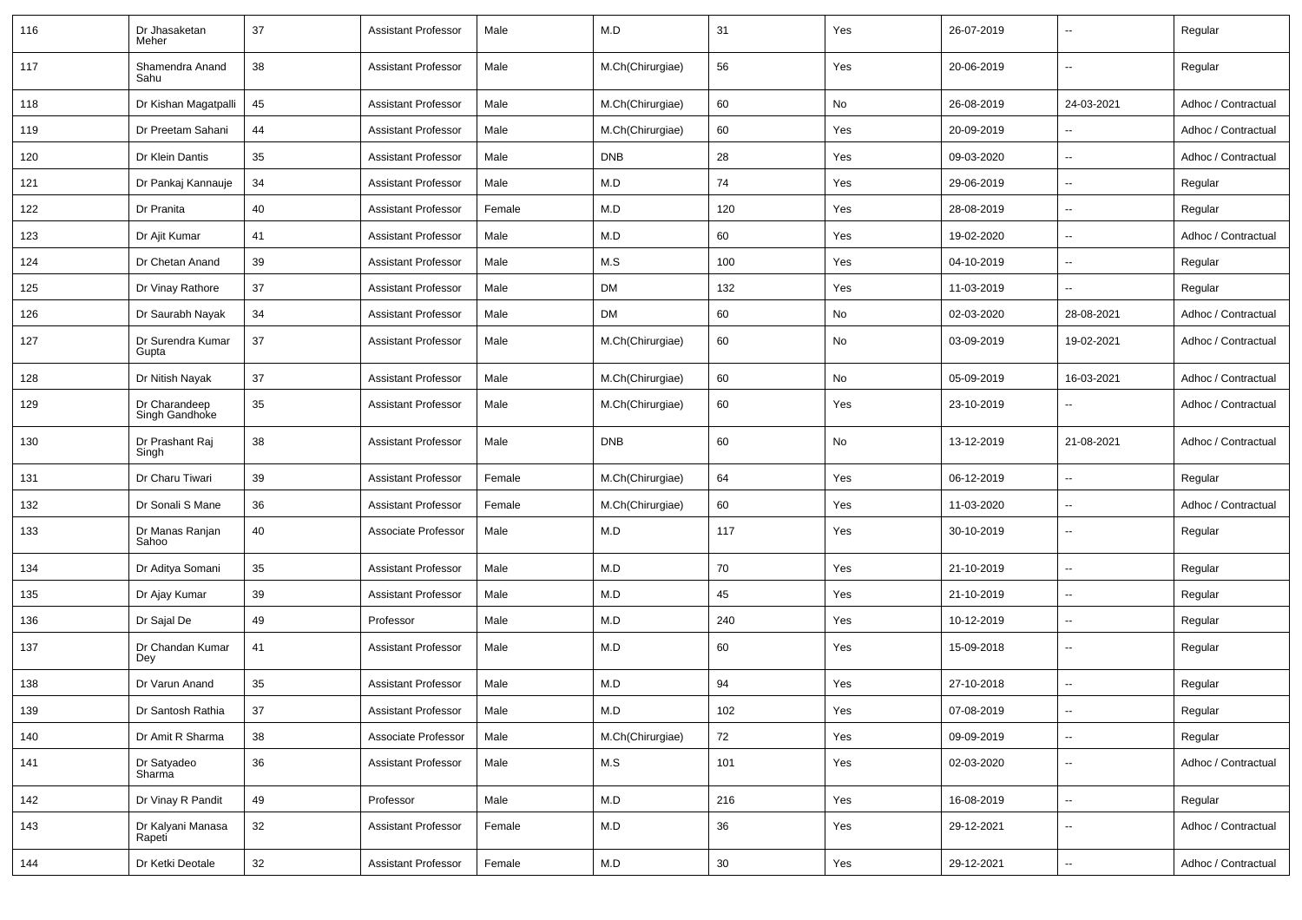| 116 | Dr Jhasaketan<br>Meher          | 37 | <b>Assistant Professor</b> | Male   | M.D              | 31  | Yes | 26-07-2019 | $\overline{\phantom{a}}$ | Regular             |
|-----|---------------------------------|----|----------------------------|--------|------------------|-----|-----|------------|--------------------------|---------------------|
| 117 | Shamendra Anand<br>Sahu         | 38 | <b>Assistant Professor</b> | Male   | M.Ch(Chirurgiae) | 56  | Yes | 20-06-2019 | $\overline{\phantom{a}}$ | Regular             |
| 118 | Dr Kishan Magatpalli            | 45 | <b>Assistant Professor</b> | Male   | M.Ch(Chirurgiae) | 60  | No  | 26-08-2019 | 24-03-2021               | Adhoc / Contractual |
| 119 | Dr Preetam Sahani               | 44 | <b>Assistant Professor</b> | Male   | M.Ch(Chirurgiae) | 60  | Yes | 20-09-2019 | $\overline{\phantom{a}}$ | Adhoc / Contractual |
| 120 | Dr Klein Dantis                 | 35 | <b>Assistant Professor</b> | Male   | <b>DNB</b>       | 28  | Yes | 09-03-2020 | $\mathbf{u}$             | Adhoc / Contractual |
| 121 | Dr Pankaj Kannauje              | 34 | <b>Assistant Professor</b> | Male   | M.D              | 74  | Yes | 29-06-2019 | $\overline{\phantom{a}}$ | Regular             |
| 122 | Dr Pranita                      | 40 | <b>Assistant Professor</b> | Female | M.D              | 120 | Yes | 28-08-2019 | $\overline{\phantom{a}}$ | Regular             |
| 123 | Dr Ajit Kumar                   | 41 | <b>Assistant Professor</b> | Male   | M.D              | 60  | Yes | 19-02-2020 | $\overline{\phantom{a}}$ | Adhoc / Contractual |
| 124 | Dr Chetan Anand                 | 39 | <b>Assistant Professor</b> | Male   | M.S              | 100 | Yes | 04-10-2019 | $\overline{\phantom{a}}$ | Regular             |
| 125 | Dr Vinay Rathore                | 37 | <b>Assistant Professor</b> | Male   | DM               | 132 | Yes | 11-03-2019 | $\mathbf{u}$             | Regular             |
| 126 | Dr Saurabh Nayak                | 34 | <b>Assistant Professor</b> | Male   | DM               | 60  | No  | 02-03-2020 | 28-08-2021               | Adhoc / Contractual |
| 127 | Dr Surendra Kumar<br>Gupta      | 37 | <b>Assistant Professor</b> | Male   | M.Ch(Chirurgiae) | 60  | No  | 03-09-2019 | 19-02-2021               | Adhoc / Contractual |
| 128 | Dr Nitish Nayak                 | 37 | <b>Assistant Professor</b> | Male   | M.Ch(Chirurgiae) | 60  | No  | 05-09-2019 | 16-03-2021               | Adhoc / Contractual |
| 129 | Dr Charandeep<br>Singh Gandhoke | 35 | <b>Assistant Professor</b> | Male   | M.Ch(Chirurgiae) | 60  | Yes | 23-10-2019 | $\overline{\phantom{a}}$ | Adhoc / Contractual |
| 130 | Dr Prashant Raj<br>Singh        | 38 | <b>Assistant Professor</b> | Male   | <b>DNB</b>       | 60  | No  | 13-12-2019 | 21-08-2021               | Adhoc / Contractual |
| 131 | Dr Charu Tiwari                 | 39 | <b>Assistant Professor</b> | Female | M.Ch(Chirurgiae) | 64  | Yes | 06-12-2019 | $\sim$                   | Regular             |
| 132 | Dr Sonali S Mane                | 36 | <b>Assistant Professor</b> | Female | M.Ch(Chirurgiae) | 60  | Yes | 11-03-2020 | $\overline{\phantom{a}}$ | Adhoc / Contractual |
| 133 | Dr Manas Ranjan<br>Sahoo        | 40 | Associate Professor        | Male   | M.D              | 117 | Yes | 30-10-2019 | $\overline{\phantom{a}}$ | Regular             |
| 134 | Dr Aditya Somani                | 35 | <b>Assistant Professor</b> | Male   | M.D              | 70  | Yes | 21-10-2019 | $\overline{\phantom{a}}$ | Regular             |
| 135 | Dr Ajay Kumar                   | 39 | <b>Assistant Professor</b> | Male   | M.D              | 45  | Yes | 21-10-2019 | $\mathbf{u}$             | Regular             |
| 136 | Dr Sajal De                     | 49 | Professor                  | Male   | M.D              | 240 | Yes | 10-12-2019 | $\overline{\phantom{a}}$ | Regular             |
| 137 | Dr Chandan Kumar<br>Dey         | 41 | <b>Assistant Professor</b> | Male   | M.D              | 60  | Yes | 15-09-2018 | $\overline{\phantom{a}}$ | Regular             |
| 138 | Dr Varun Anand                  | 35 | <b>Assistant Professor</b> | Male   | M.D              | 94  | Yes | 27-10-2018 | $\overline{\phantom{a}}$ | Regular             |
| 139 | Dr Santosh Rathia               | 37 | Assistant Professor        | Male   | M.D              | 102 | Yes | 07-08-2019 |                          | Regular             |
| 140 | Dr Amit R Sharma                | 38 | Associate Professor        | Male   | M.Ch(Chirurgiae) | 72  | Yes | 09-09-2019 | $\overline{\phantom{a}}$ | Regular             |
| 141 | Dr Satyadeo<br>Sharma           | 36 | Assistant Professor        | Male   | M.S              | 101 | Yes | 02-03-2020 | $\overline{\phantom{a}}$ | Adhoc / Contractual |
| 142 | Dr Vinay R Pandit               | 49 | Professor                  | Male   | M.D              | 216 | Yes | 16-08-2019 | ۰.                       | Regular             |
| 143 | Dr Kalyani Manasa<br>Rapeti     | 32 | <b>Assistant Professor</b> | Female | M.D              | 36  | Yes | 29-12-2021 | $\overline{\phantom{a}}$ | Adhoc / Contractual |
| 144 | Dr Ketki Deotale                | 32 | <b>Assistant Professor</b> | Female | M.D              | 30  | Yes | 29-12-2021 | $\overline{\phantom{a}}$ | Adhoc / Contractual |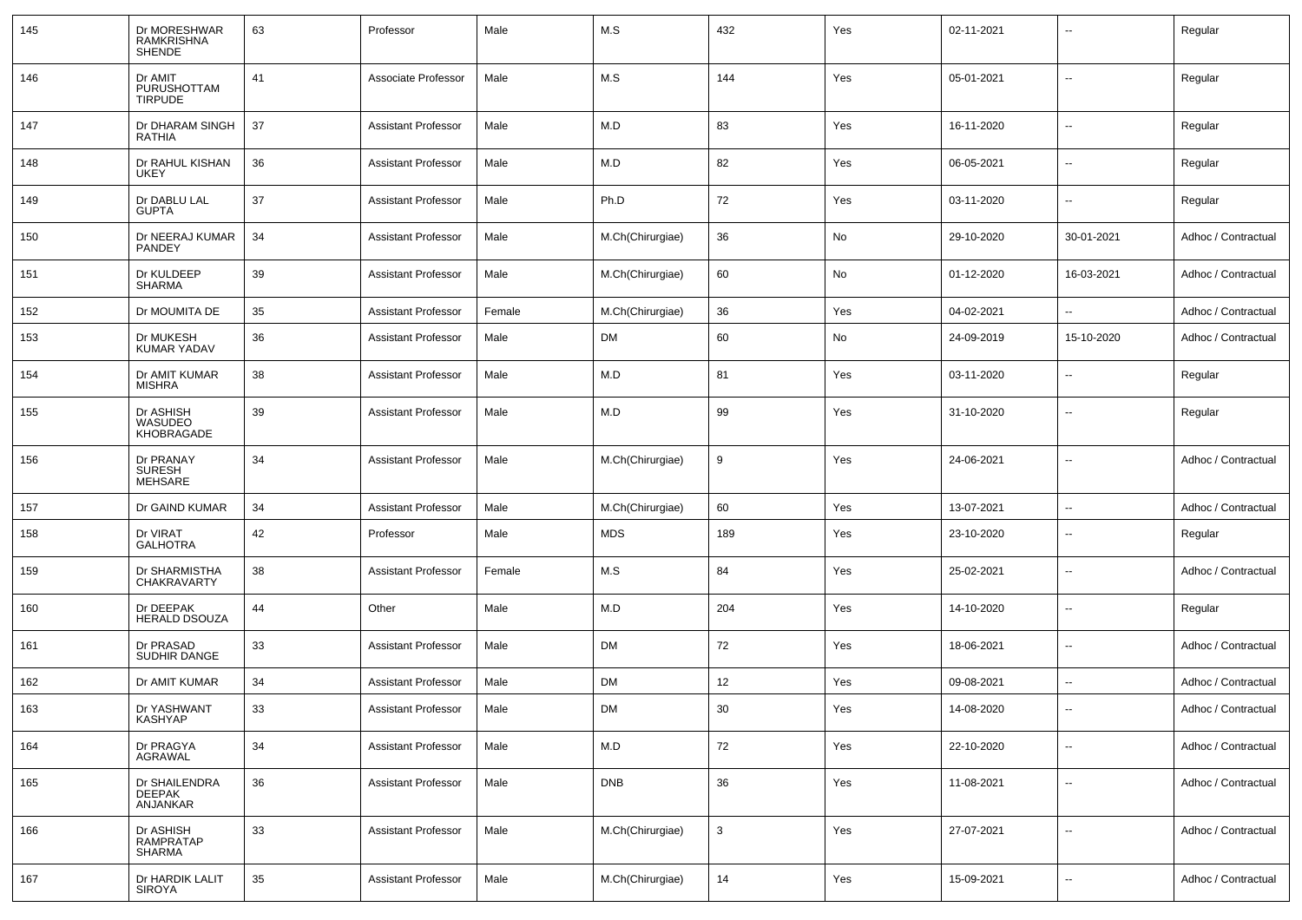| 145 | Dr MORESHWAR<br>RAMKRISHNA<br><b>SHENDE</b> | 63 | Professor                  | Male   | M.S              | 432 | Yes | 02-11-2021 | $\overline{\phantom{a}}$ | Regular             |
|-----|---------------------------------------------|----|----------------------------|--------|------------------|-----|-----|------------|--------------------------|---------------------|
| 146 | Dr AMIT<br>PURUSHOTTAM<br><b>TIRPUDE</b>    | 41 | Associate Professor        | Male   | M.S              | 144 | Yes | 05-01-2021 | $\overline{a}$           | Regular             |
| 147 | Dr DHARAM SINGH<br>RATHIA                   | 37 | <b>Assistant Professor</b> | Male   | M.D              | 83  | Yes | 16-11-2020 | Ξ.                       | Regular             |
| 148 | Dr RAHUL KISHAN<br><b>UKEY</b>              | 36 | <b>Assistant Professor</b> | Male   | M.D              | 82  | Yes | 06-05-2021 | Ξ.                       | Regular             |
| 149 | Dr DABLU LAL<br><b>GUPTA</b>                | 37 | Assistant Professor        | Male   | Ph.D             | 72  | Yes | 03-11-2020 | ۰.                       | Regular             |
| 150 | Dr NEERAJ KUMAR<br>PANDEY                   | 34 | <b>Assistant Professor</b> | Male   | M.Ch(Chirurgiae) | 36  | No  | 29-10-2020 | 30-01-2021               | Adhoc / Contractual |
| 151 | Dr KULDEEP<br>SHARMA                        | 39 | <b>Assistant Professor</b> | Male   | M.Ch(Chirurgiae) | 60  | No  | 01-12-2020 | 16-03-2021               | Adhoc / Contractual |
| 152 | Dr MOUMITA DE                               | 35 | Assistant Professor        | Female | M.Ch(Chirurgiae) | 36  | Yes | 04-02-2021 |                          | Adhoc / Contractual |
| 153 | Dr MUKESH<br><b>KUMAR YADAV</b>             | 36 | <b>Assistant Professor</b> | Male   | DM               | 60  | No  | 24-09-2019 | 15-10-2020               | Adhoc / Contractual |
| 154 | Dr AMIT KUMAR<br><b>MISHRA</b>              | 38 | <b>Assistant Professor</b> | Male   | M.D              | 81  | Yes | 03-11-2020 | $\overline{\phantom{a}}$ | Regular             |
| 155 | Dr ASHISH<br>WASUDEO<br>KHOBRAGADE          | 39 | <b>Assistant Professor</b> | Male   | M.D              | 99  | Yes | 31-10-2020 | $\overline{\phantom{a}}$ | Regular             |
| 156 | Dr PRANAY<br><b>SURESH</b><br>MEHSARE       | 34 | <b>Assistant Professor</b> | Male   | M.Ch(Chirurgiae) | 9   | Yes | 24-06-2021 |                          | Adhoc / Contractual |
| 157 | Dr GAIND KUMAR                              | 34 | <b>Assistant Professor</b> | Male   | M.Ch(Chirurgiae) | 60  | Yes | 13-07-2021 | ۰.                       | Adhoc / Contractual |
| 158 | Dr VIRAT<br><b>GALHOTRA</b>                 | 42 | Professor                  | Male   | <b>MDS</b>       | 189 | Yes | 23-10-2020 | ۰.                       | Regular             |
| 159 | Dr SHARMISTHA<br>CHAKRAVARTY                | 38 | <b>Assistant Professor</b> | Female | M.S              | 84  | Yes | 25-02-2021 | $\overline{a}$           | Adhoc / Contractual |
| 160 | Dr DEEPAK<br><b>HERALD DSOUZA</b>           | 44 | Other                      | Male   | M.D              | 204 | Yes | 14-10-2020 | Ξ.                       | Regular             |
| 161 | Dr PRASAD<br>SUDHIR DANGE                   | 33 | Assistant Professor        | Male   | DM               | 72  | Yes | 18-06-2021 | ۰.                       | Adhoc / Contractual |
| 162 | Dr AMIT KUMAR                               | 34 | <b>Assistant Professor</b> | Male   | DM               | 12  | Yes | 09-08-2021 | Ξ.                       | Adhoc / Contractual |
| 163 | Dr YASHWANT<br>KASHYAP                      | 33 | Assistant Professor        | Male   | <b>DM</b>        | 30  | Yes | 14-08-2020 |                          | Adhoc / Contractual |
| 164 | Dr PRAGYA<br>AGRAWAL                        | 34 | <b>Assistant Professor</b> | Male   | M.D              | 72  | Yes | 22-10-2020 | ÷.                       | Adhoc / Contractual |
| 165 | Dr SHAILENDRA<br>DEEPAK<br>ANJANKAR         | 36 | <b>Assistant Professor</b> | Male   | <b>DNB</b>       | 36  | Yes | 11-08-2021 | Ξ.                       | Adhoc / Contractual |
| 166 | Dr ASHISH<br>RAMPRATAP<br>SHARMA            | 33 | <b>Assistant Professor</b> | Male   | M.Ch(Chirurgiae) | 3   | Yes | 27-07-2021 | $\overline{\phantom{a}}$ | Adhoc / Contractual |
| 167 | Dr HARDIK LALIT<br>SIROYA                   | 35 | <b>Assistant Professor</b> | Male   | M.Ch(Chirurgiae) | 14  | Yes | 15-09-2021 | $\overline{\phantom{a}}$ | Adhoc / Contractual |